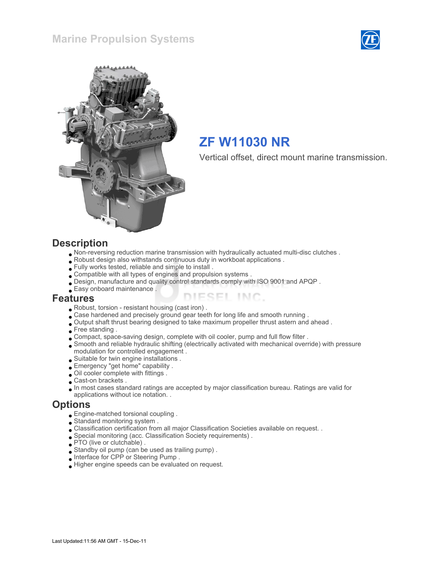



# ZF W11030 NR

Vertical offset, direct mount marine transmission.

#### **Description**

- Non-reversing reduction marine transmission with hydraulically actuated multi-disc clutches .
- Robust design also withstands continuous duty in workboat applications .
- Fully works tested, reliable and simple to install .
- Compatible with all types of engines and propulsion systems .
- Design, manufacture and quality control standards comply with ISO 9001 and APQP .
- Easy onboard maintenance .

#### Features

- Robust, torsion resistant housing (cast iron) .
- Case hardened and precisely ground gear teeth for long life and smooth running .
- Output shaft thrust bearing designed to take maximum propeller thrust astern and ahead .
- Free standing .
- Compact, space-saving design, complete with oil cooler, pump and full flow filter .
- Smooth and reliable hydraulic shifting (electrically activated with mechanical override) with pressure modulation for controlled engagement .

ESEL INC.

- Suitable for twin engine installations .
- Emergency "get home" capability .
- Oil cooler complete with fittings .
- Cast-on brackets .
- In most cases standard ratings are accepted by major classification bureau. Ratings are valid for applications without ice notation. .

#### **Options**

- Engine-matched torsional coupling .
- Standard monitoring system .
- Classification certification from all major Classification Societies available on request. .
- Special monitoring (acc. Classification Society requirements) .
- **PTO** (live or clutchable).
- Standby oil pump (can be used as trailing pump) .
- Interface for CPP or Steering Pump .
- Higher engine speeds can be evaluated on request.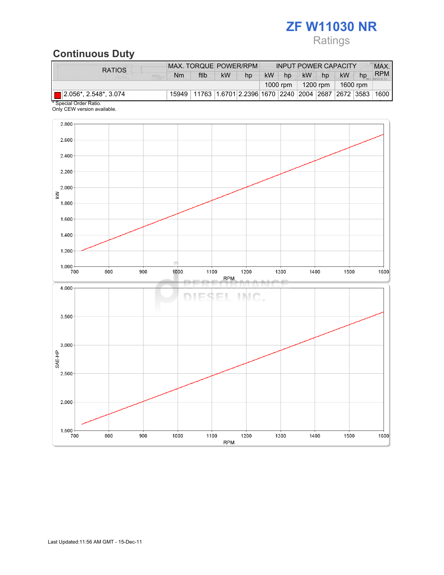# ZF W11030 NR

# Ratings

# Continuous Duty

| <b>RATIOS</b>                                                                             | MAX. TORQUE POWER/RPM |                                                              |    |    |           |    |                     | <b>INPUT POWER CAPACITY</b> |            |    | MAX.       |
|-------------------------------------------------------------------------------------------|-----------------------|--------------------------------------------------------------|----|----|-----------|----|---------------------|-----------------------------|------------|----|------------|
|                                                                                           | N <sub>m</sub>        | ftlb                                                         | kW | hp | <b>kW</b> | hp | <b>kW</b>           | hp                          | kW         | hp | <b>RPM</b> |
|                                                                                           |                       |                                                              |    |    |           |    | 1000 rpm   1200 rpm |                             | ∣ 1600 rpm |    |            |
| $\Box$ 2.056*, 2.548*, 3.074<br>$\mathbf{A} \cap \mathbf{A}$ $\mathbf{A} \cap \mathbf{A}$ |                       | 15949 11763 1.6701 2.2396 1670 2240 2004 2687 2672 3583 1600 |    |    |           |    |                     |                             |            |    |            |

\* Special Order Ratio. Only CEW version available.

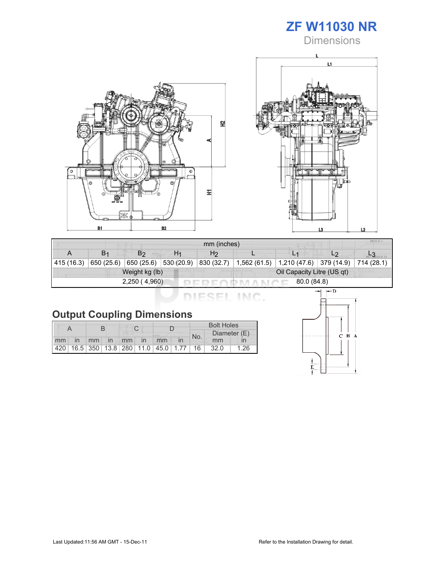

**Dimensions** 





| MIU X<br>mm (inches) |                       |                        |                |                |                            |                                                 |                |            |  |  |
|----------------------|-----------------------|------------------------|----------------|----------------|----------------------------|-------------------------------------------------|----------------|------------|--|--|
|                      | <b>B</b> <sub>1</sub> | B <sub>2</sub>         | H <sub>1</sub> | H <sub>2</sub> |                            | L <sub>1</sub>                                  | L <sub>2</sub> |            |  |  |
| 415 (16.3)           | 650 (25.6)            | $650(25.6)$ 530 (20.9) |                | 830 (32.7)     | 1,562 (61.5)               | $\vert$ 1,210 (47.6) $\vert$ 379 (14.9) $\vert$ |                | 714 (28.1) |  |  |
| Weight kg (lb)       |                       |                        |                |                | Oil Capacity Litre (US qt) |                                                 |                |            |  |  |
|                      |                       | 2,250 (4,960)          |                | 80.0 (84.8)    |                            |                                                 |                |            |  |  |

DIESEL INC.

|    |                |  |  |  |             | <b>Bolt Holes</b>                       |     |              |      |      |
|----|----------------|--|--|--|-------------|-----------------------------------------|-----|--------------|------|------|
|    |                |  |  |  |             |                                         | No. | Diameter (E) |      |      |
| mm | $\overline{m}$ |  |  |  | mm in mm in | mm                                      |     |              | mm   |      |
|    |                |  |  |  |             | 420 16.5 350 13.8 280 11.0 45.0 1.77 16 |     |              | 32.0 | 1.26 |